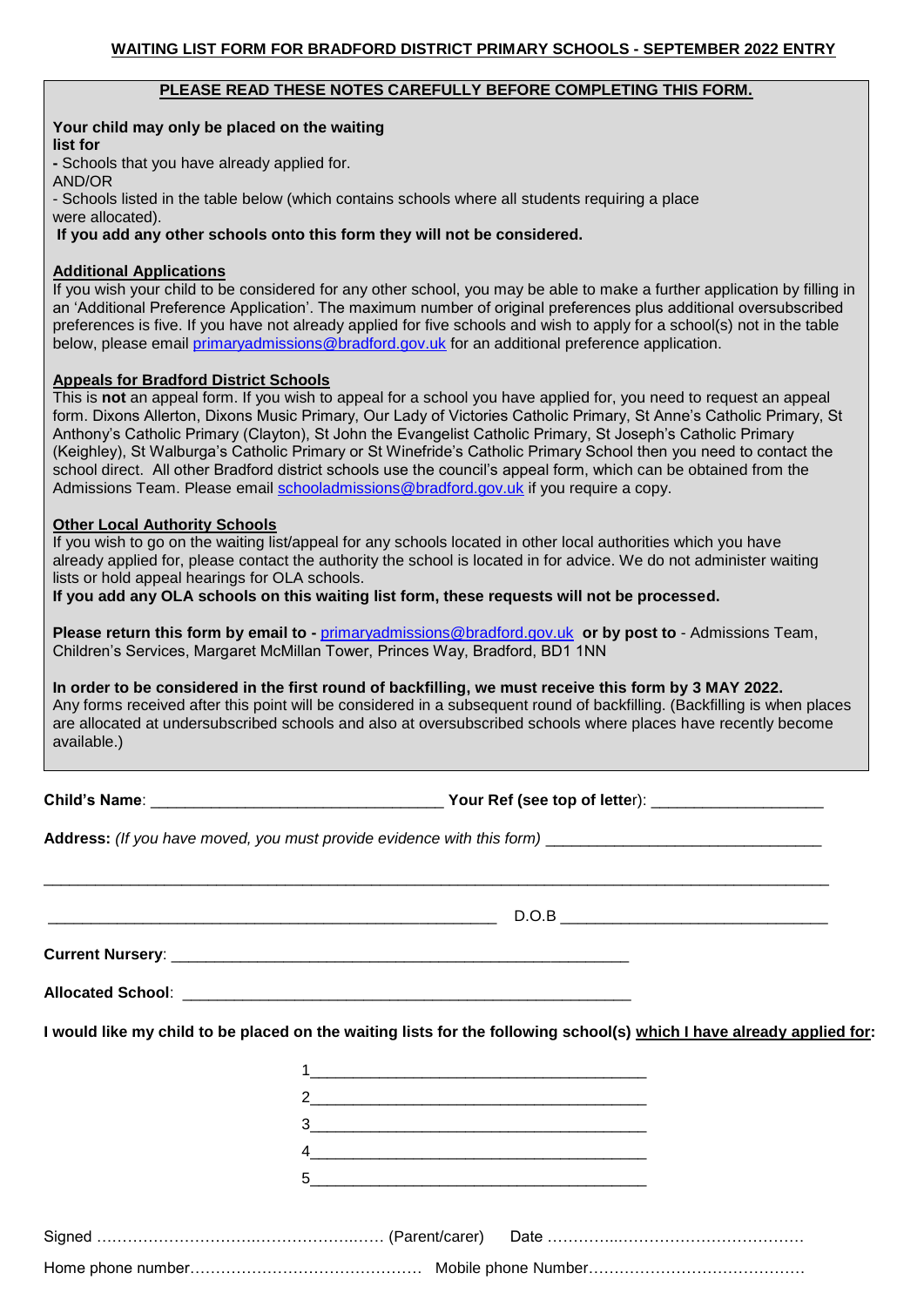#### **PLEASE READ THESE NOTES CAREFULLY BEFORE COMPLETING THIS FORM.**

# **Your child may only be placed on the waiting**

**list for**

**-** Schools that you have already applied for.

AND/OR

- Schools listed in the table below (which contains schools where all students requiring a place

were allocated).

**If you add any other schools onto this form they will not be considered.** 

### **Additional Applications**

If you wish your child to be considered for any other school, you may be able to make a further application by filling in an 'Additional Preference Application'. The maximum number of original preferences plus additional oversubscribed preferences is five. If you have not already applied for five schools and wish to apply for a school(s) not in the table below, please email primaryadmissions@bradford.gov.uk for an additional preference application.

## **Appeals for Bradford District Schools**

This is **not** an appeal form. If you wish to appeal for a school you have applied for, you need to request an appeal form. Dixons Allerton, Dixons Music Primary, Our Lady of Victories Catholic Primary, St Anne's Catholic Primary, St Anthony's Catholic Primary (Clayton), St John the Evangelist Catholic Primary, St Joseph's Catholic Primary (Keighley), St Walburga's Catholic Primary or St Winefride's Catholic Primary School then you need to contact the school direct. All other Bradford district schools use the council's appeal form, which can be obtained from the Admissions Team. Please email schooladmissions@bradford.gov.uk if you require a copy.

### **Other Local Authority Schools**

If you wish to go on the waiting list/appeal for any schools located in other local authorities which you have already applied for, please contact the authority the school is located in for advice. We do not administer waiting lists or hold appeal hearings for OLA schools.

**If you add any OLA schools on this waiting list form, these requests will not be processed.** 

**Please return this form by email to -** primaryadmissions@bradford.gov.uk **or by post to** - Admissions Team, Children's Services, Margaret McMillan Tower, Princes Way, Bradford, BD1 1NN

**In order to be considered in the first round of backfilling, we must receive this form by 3 MAY 2022.**  Any forms received after this point will be considered in a subsequent round of backfilling. (Backfilling is when places are allocated at undersubscribed schools and also at oversubscribed schools where places have recently become available.)

\_\_\_\_\_\_\_\_\_\_\_\_\_\_\_\_\_\_\_\_\_\_\_\_\_\_\_\_\_\_\_\_\_\_\_\_\_\_\_\_\_\_\_\_\_\_\_\_\_\_\_\_\_\_\_\_\_\_\_\_\_\_\_\_\_\_\_\_\_\_\_\_\_\_\_\_\_\_\_\_\_\_\_\_\_\_\_\_\_\_\_

**Child's Name**: \_\_\_\_\_\_\_\_\_\_\_\_\_\_\_\_\_\_\_\_\_\_\_\_\_\_\_\_\_\_\_\_\_\_ **Your Ref (see top of lette**r): \_\_\_\_\_\_\_\_\_\_\_\_\_\_\_\_\_\_\_\_

**Address:** *(If you have moved, you must provide evidence with this form)* \_\_\_\_\_\_\_\_\_\_\_\_\_\_\_\_\_\_\_\_\_\_\_\_\_\_\_\_\_\_\_\_

 $\blacksquare$  D.O.B

**Current Nursery**: \_\_\_\_\_\_\_\_\_\_\_\_\_\_\_\_\_\_\_\_\_\_\_\_\_\_\_\_\_\_\_\_\_\_\_\_\_\_\_\_\_\_\_\_\_\_\_\_\_\_\_\_\_

**Allocated School**: \_\_\_\_\_\_\_\_\_\_\_\_\_\_\_\_\_\_\_\_\_\_\_\_\_\_\_\_\_\_\_\_\_\_\_\_\_\_\_\_\_\_\_\_\_\_\_\_\_\_\_\_

**I would like my child to be placed on the waiting lists for the following school(s) which I have already applied for:** 

| 5                                                                                                                     |  |
|-----------------------------------------------------------------------------------------------------------------------|--|
| <u> 1980 - Jan Barat, margaret amerikan basar dan berasal dalam basa dan berasal dalam basa dalam basa dalam basa</u> |  |
|                                                                                                                       |  |